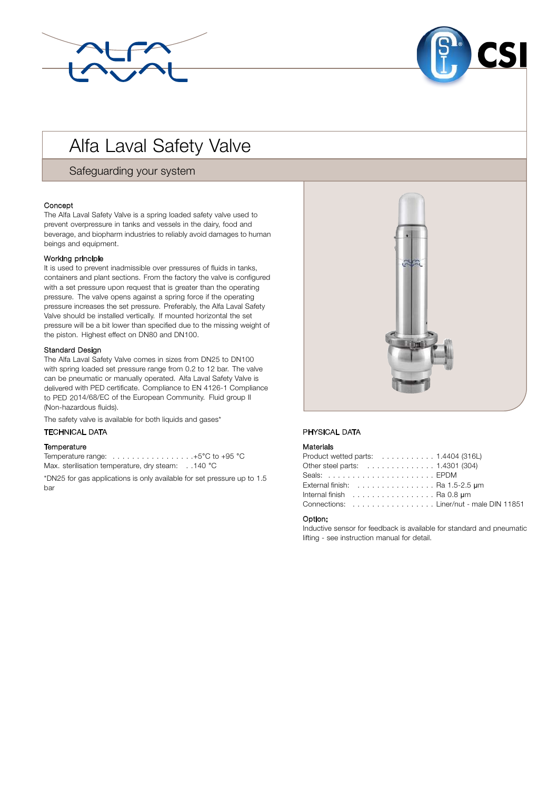



# Alfa Laval Safety Valve

Safeguarding your system

## Concept

The Alfa Laval Safety Valve is a spring loaded safety valve used to prevent overpressure in tanks and vessels in the dairy, food and beverage, and biopharm industries to reliably avoid damages to human beings and equipment.

## Working principle

It is used to prevent inadmissible over pressures of fluids in tanks, containers and plant sections. From the factory the valve is configured with a set pressure upon request that is greater than the operating pressure. The valve opens against a spring force if the operating pressure increases the set pressure. Preferably, the Alfa Laval Safety Valve should be installed vertically. If mounted horizontal the set pressure will be a bit lower than specified due to the missing weight of the piston. Highest effect on DN80 and DN100.

## Standard Design

The Alfa Laval Safety Valve comes in sizes from DN25 to DN100 with spring loaded set pressure range from 0.2 to 12 bar. The valve can be pneumatic or manually operated. Alfa Laval Safety Valve is delivered with PED certificate. Compliance to EN 4126-1 Compliance to PED 2014/68/EC of the European Community. Fluid group II (Non-hazardous fluids).

The safety valve is available for both liquids and gases\*

# . TECHNICAL DATA

## **Temperature**

Temperature range: . . . . . . . . . . . . . . . . .+5°C to +95 °C Max. sterilisation temperature, dry steam: . . 140 °C

\*DN25 for gas applications is only available for set pressure up to 1.5 bar



## PHYSICAL DATA

## Materials

| Product wetted parts: $\ldots \ldots \ldots \ldots 1.4404$ (316L)          |
|----------------------------------------------------------------------------|
| Other steel parts: 1.4301 (304)                                            |
|                                                                            |
| External finish: $\ldots \ldots \ldots \ldots \ldots$ . Ra 1.5-2.5 $\mu$ m |
| Internal finish $\ldots \ldots \ldots \ldots \ldots$ . Ra 0.8 um           |
| Connections: Liner/nut - male DIN 11851                                    |

## Option:

Inductive sensor for feedback is available for standard and pneumatic lifting - see instruction manual for detail.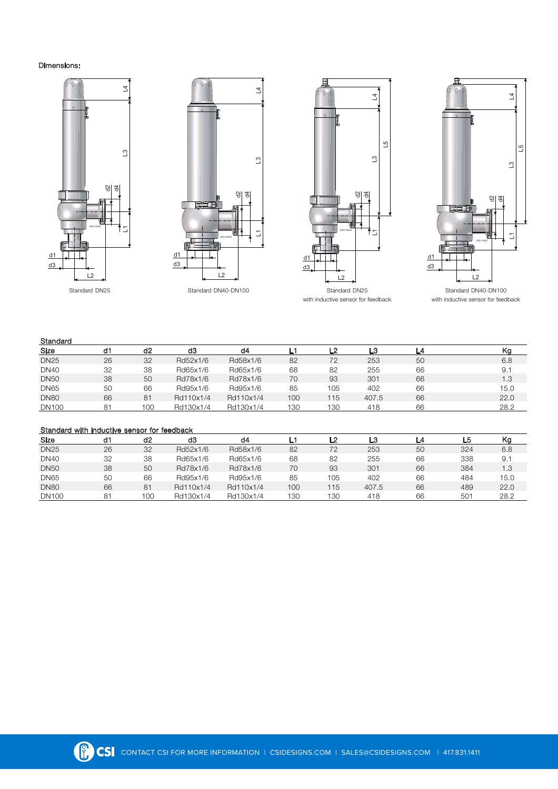## Dimensions:











with inductive sensor for feedback with inductive sensor for feedback

# **Standard**

| Size         | d1 | d <sub>2</sub> | dЗ        | d4        |     | -2  | L3    | L4 | w    |
|--------------|----|----------------|-----------|-----------|-----|-----|-------|----|------|
| <b>DN25</b>  | 26 | 32             | Rd52x1/6  | Rd58x1/6  | 82  | 72  | 253   | 50 | 6.8  |
| <b>DN40</b>  | 32 | 38             | Rd65x1/6  | Rd65x1/6  | 68  | 82  | 255   | 66 | 9.1  |
| <b>DN50</b>  | 38 | 50             | Rd78x1/6  | Rd78x1/6  | 70  | 93  | 301   | 66 | 1.3  |
| <b>DN65</b>  | 50 | 66             | Rd95x1/6  | Rd95x1/6  | 85  | 105 | 402   | 66 | 15.0 |
| <b>DN80</b>  | 66 | 81             | Rd110x1/4 | Rd110x1/4 | 100 | 15  | 407.5 | 66 | 22.0 |
| <b>DN100</b> | 81 | 100            | Rd130x1/4 | Rd130x1/4 | 130 | 130 | 418   | 66 | 28.2 |

# Standard with inductive sensor for feedback

| Size         | d1 | d2  | d3        | d4        |     | - 2 | LЗ    |    | L5              | Kg   |
|--------------|----|-----|-----------|-----------|-----|-----|-------|----|-----------------|------|
| <b>DN25</b>  | 26 | 32  | Rd52x1/6  | Rd58x1/6  | 82  | 72  | 253   | 50 | 324             | 6.8  |
| <b>DN40</b>  | 32 | 38  | Rd65x1/6  | Rd65x1/6  | 68  | 82  | 255   | 66 | 338             | 9.1  |
| <b>DN50</b>  | 38 | 50  | Rd78x1/6  | Rd78x1/6  | 70  | 93  | 301   | 66 | 384             | 1.3  |
| <b>DN65</b>  | 50 | 66  | Rd95x1/6  | Rd95x1/6  | 85  | 05  | 402   | 66 | 484             | 15.0 |
| <b>DN80</b>  | 66 | 81  | Rd110x1/4 | Rd110x1/4 | 100 | 15  | 407.5 | 66 | 489             | 22.0 |
| <b>DN100</b> | 81 | 100 | Rd130x1/4 | Rd130x1/4 | 130 | 30  | 418   | 66 | 50 <sup>2</sup> | 28.2 |

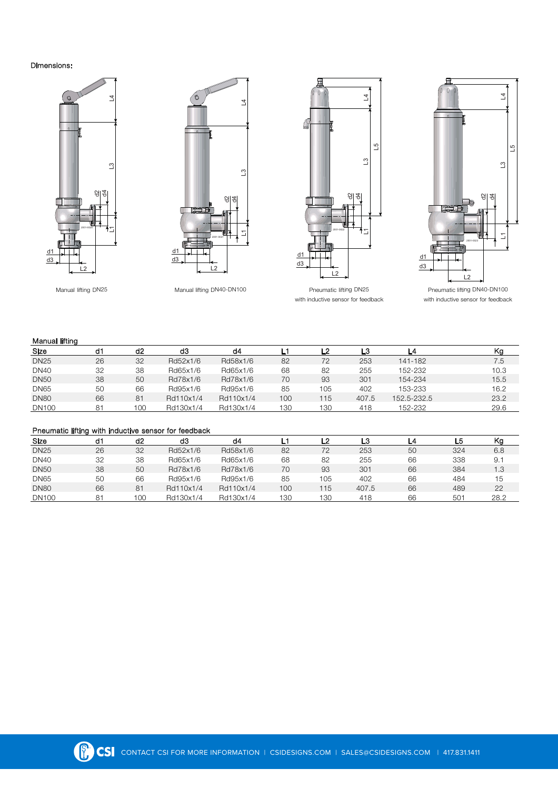## Dimensions:









Manual lifting DN25 Manual lifting DN40-DN100 Pneumatic lifting DN25 Pneumatic lifting DN40-DN100 with inductive sensor for feedback with inductive sensor for feedback

#### Manual lifting

| Size         | d1 | d2  | dЗ        | d4        |     | 2   | -3    |             | Kg   |
|--------------|----|-----|-----------|-----------|-----|-----|-------|-------------|------|
| <b>DN25</b>  | 26 | 32  | Rd52x1/6  | Rd58x1/6  | 82  | 72  | 253   | 141-182     | 7.5  |
| <b>DN40</b>  | 32 | 38  | Rd65x1/6  | Rd65x1/6  | 68  | 82  | 255   | 152-232     | 10.3 |
| <b>DN50</b>  | 38 | 50  | Rd78x1/6  | Rd78x1/6  | 70  | 93  | 301   | 154-234     | 15.5 |
| <b>DN65</b>  | 50 | 66  | Rd95x1/6  | Rd95x1/6  | 85  | 105 | 402   | 153-233     | 16.2 |
| <b>DN80</b>  | 66 | 81  | Rd110x1/4 | Rd110x1/4 | 100 | 115 | 407.5 | 152.5-232.5 | 23.2 |
| <b>DN100</b> | 81 | 100 | Rd130x1/4 | Rd130x1/4 | 130 | 130 | 418   | 152-232     | 29.6 |

#### Pneumatic lifting with inductive sensor for feedback

| Size         | d1 | d <sub>2</sub> | dЗ        | d4        |     | ּ   | ∟3    | _4 | -5  | Kg   |
|--------------|----|----------------|-----------|-----------|-----|-----|-------|----|-----|------|
| <b>DN25</b>  | 26 | 32             | Rd52x1/6  | Rd58x1/6  | 82  | 72  | 253   | 50 | 324 | 6.8  |
| <b>DN40</b>  | 32 | 38             | Rd65x1/6  | Rd65x1/6  | 68  | 82  | 255   | 66 | 338 | 9.1  |
| <b>DN50</b>  | 38 | 50             | Rd78x1/6  | Rd78x1/6  | 70  | 93  | 301   | 66 | 384 | 1.3  |
| <b>DN65</b>  | 50 | 66             | Rd95x1/6  | Rd95x1/6  | 85  | 105 | 402   | 66 | 484 | 15   |
| <b>DN80</b>  | 66 | 81             | Rd110x1/4 | Rd110x1/4 | 100 | 115 | 407.5 | 66 | 489 | 22   |
| <b>DN100</b> | 81 | 100            | Rd130x1/4 | Rd130x1/4 | 130 | 130 | 418   | 66 | 501 | 28.2 |

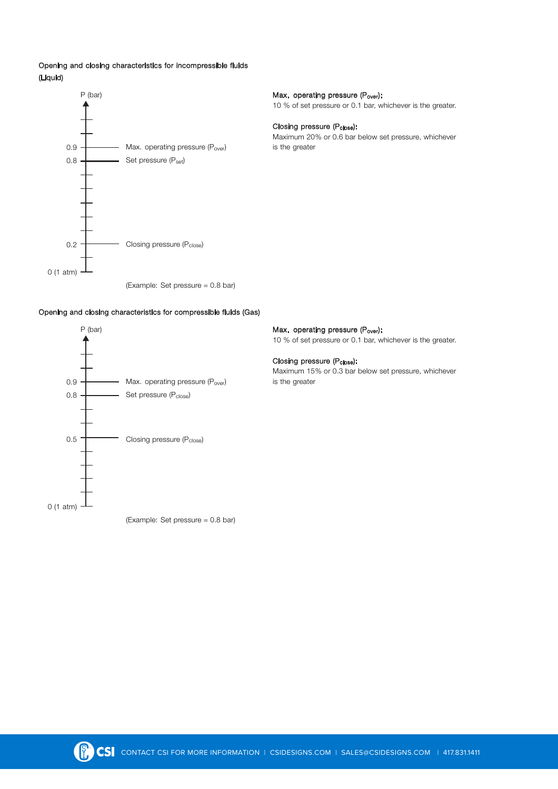# Opening and closing characteristics for incompressible fluids (Liquid)



10 % of set pressure or 0.1 bar, whichever is the greater.

Closing pressure (Pclose): Maximum 20% or 0.6 bar below set pressure, whichever

(Example: Set pressure = 0.8 bar)

# Opening and closing characteristics for compressible fluids (Gas)



10 % of set pressure or 0.1 bar, whichever is the greater.

Closing pressure (Pclose): Maximum 15% or 0.3 bar below set pressure, whichever

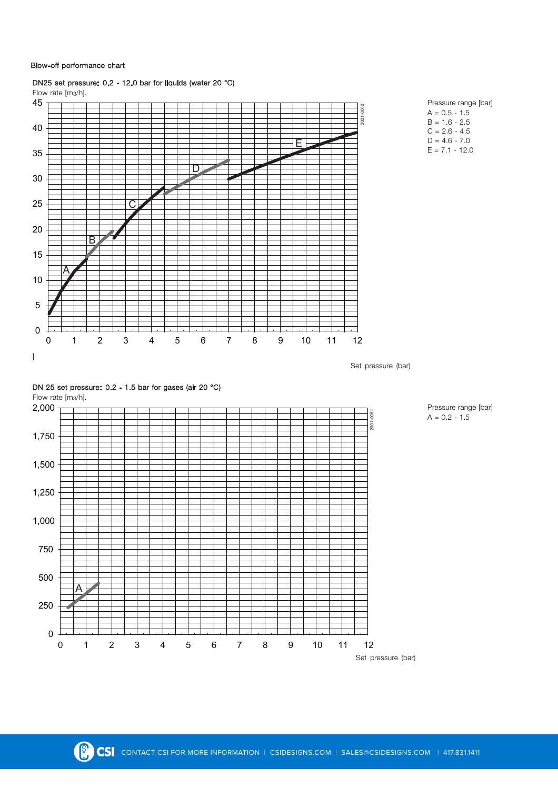## Blow-off performance chart



# DN25 set pressure: 0.2 - 12.0 bar for liquids (water 20 **°**C)



Pressure range [bar]  $A = 0.2 - 1.5$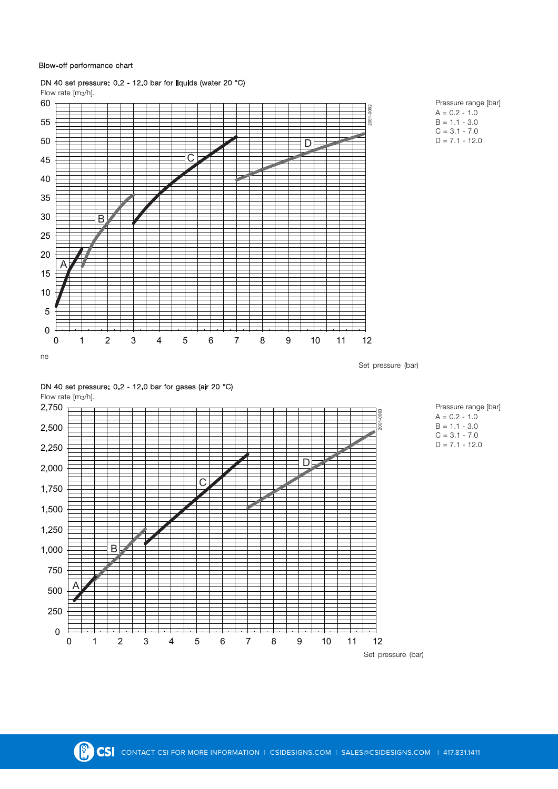## Blow-off performance chart



# DN 40 set pressure: 0.2 - 12.0 bar for liquids (water 20 **°**C)







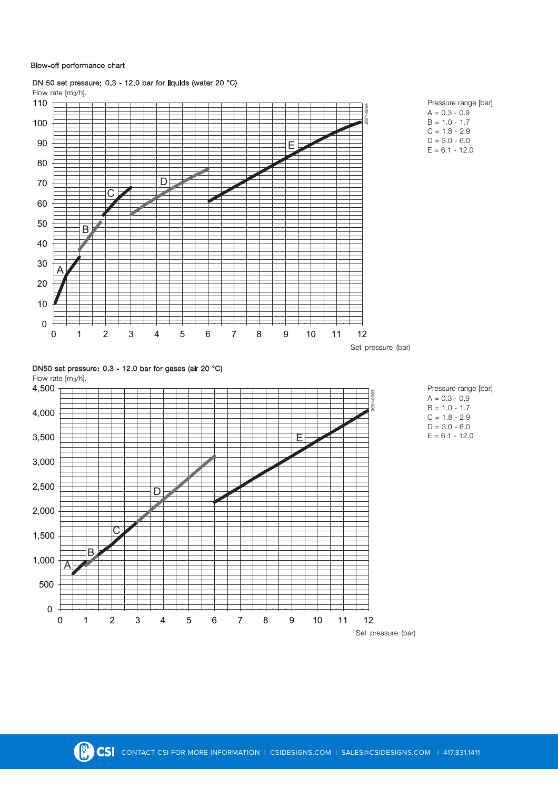#### Blow-off performance chart

0

500

A

 $\overline{B}$ 

 $\overline{C}$ 

1,000

1,500

2,000



DN 50 set pressure: 0.3 - 12.0 bar for liquids (water 20 **°**C)

Set pressure (bar)

0 1 2 3 4 5 6 7 8 9 10 11 12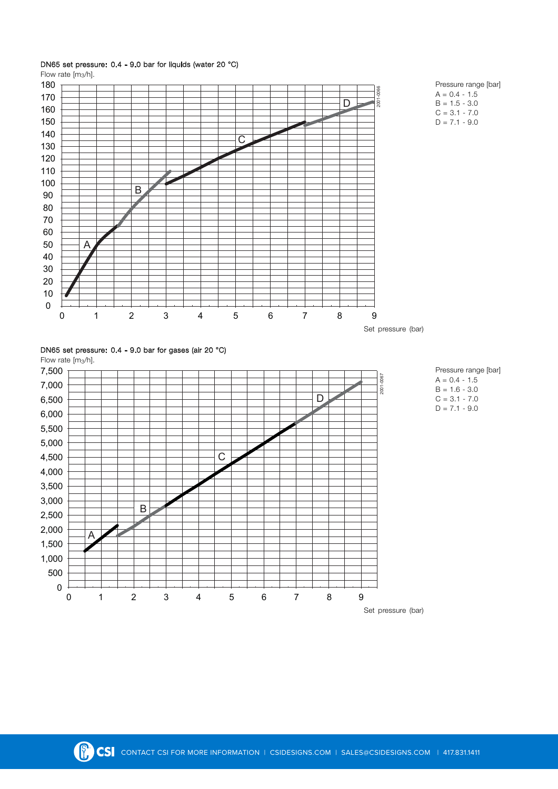

# DN65 set pressure: 0.4 - 9.0 bar for liquids (water 20 **°**C)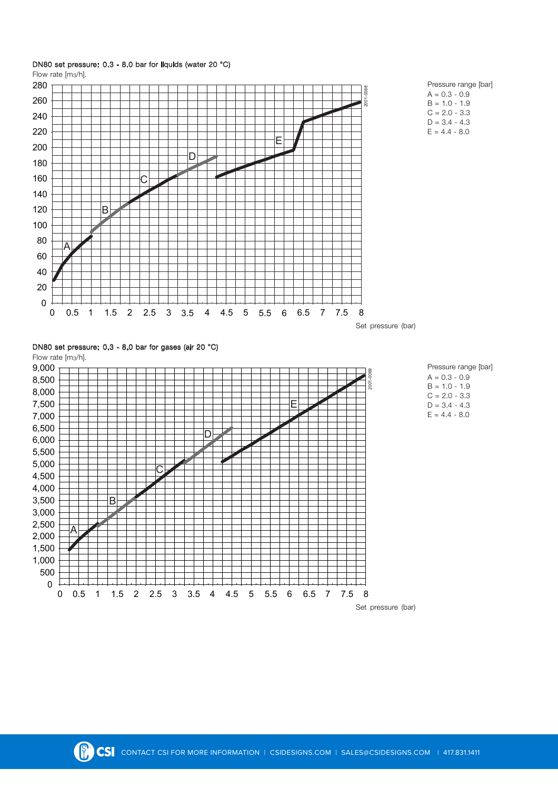

# DN80 set pressure: 0.3 - 8.0 bar for liquids (water 20 **°**C)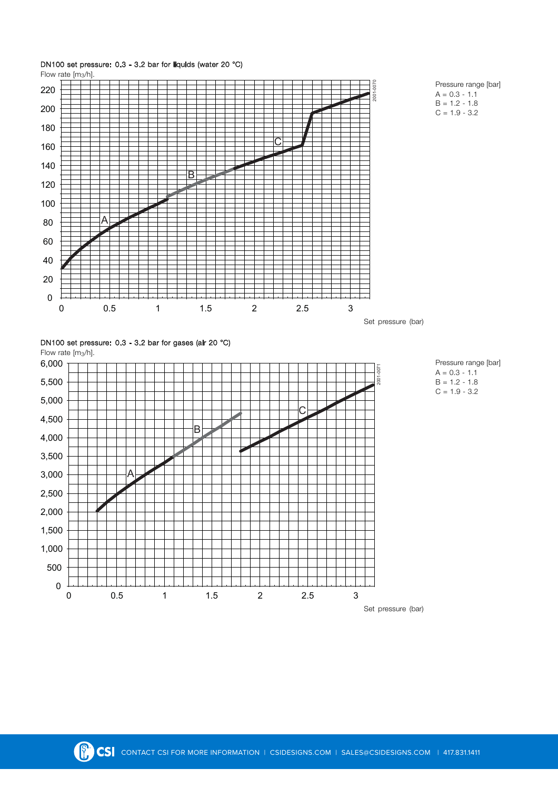

# DN100 set pressure: 0.3 - 3.2 bar for liquids (water 20 **°**C)

Set pressure (bar)